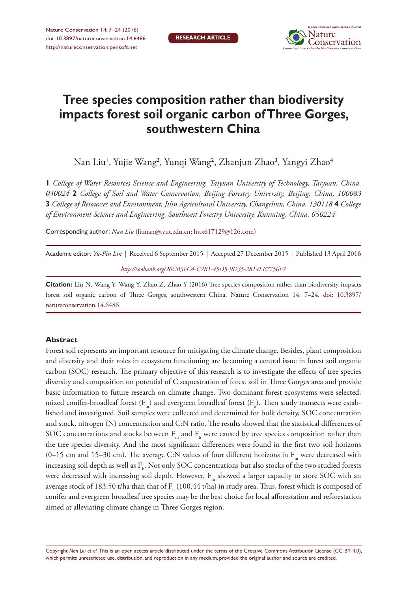

# **Tree species composition rather than biodiversity impacts forest soil organic carbon of Three Gorges, southwestern China**

Nan Liu', Yujie Wang<sup>2</sup>, Yunqi Wang<sup>2</sup>, Zhanjun Zhao<sup>3</sup>, Yangyi Zhao<sup>4</sup>

 *College of Water Resources Science and Engineering, Taiyuan University of Technology, Taiyuan, China,*  **2** *College of Soil and Water Conservation, Beijing Forestry University, Beijing, China, 100083 College of Resources and Environment, Jilin Agricultural University, Changchun, China, 130118* **4** *College of Environment Science and Engineering, Southwest Forestry University, Kunming, China, 650224*

Corresponding author: *Nan Liu* [\(liunan@tyut.edu.cn;](mailto:liunan@tyut.edu.cn) [lntx617129@126.com\)](mailto:lntx617129@126.com)

| Academic editor: <i>Yu-Pin Lin</i>   Received 6 September 2015   Accepted 27 December 2015   Published 13 April 2016 |  |
|----------------------------------------------------------------------------------------------------------------------|--|
| http://zoobank.org/20CB3FC4-C2B1-45D5-9D35-2814EE7756F7                                                              |  |

**Citation:** Liu N, Wang Y, Wang Y, Zhao Z, Zhao Y (2016) Tree species composition rather than biodiversity impacts forest soil organic carbon of Three Gorges, southwestern China. Nature Conservation 14: 7–24. [doi: 10.3897/](http://dx.doi.org/10.3897/natureconservation.14.6486) [natureconservation.14.6486](http://dx.doi.org/10.3897/natureconservation.14.6486)

## **Abstract**

Forest soil represents an important resource for mitigating the climate change. Besides, plant composition and diversity and their roles in ecosystem functioning are becoming a central issue in forest soil organic carbon (SOC) research. The primary objective of this research is to investigate the effects of tree species diversity and composition on potential of C sequestration of forest soil in Three Gorges area and provide basic information to future research on climate change. Two dominant forest ecosystems were selected: mixed conifer-broadleaf forest  $(F_m)$  and evergreen broadleaf forest  $(F_b)$ . Then study transects were established and investigated. Soil samples were collected and determined for bulk density, SOC concentration and stock, nitrogen (N) concentration and C:N ratio. The results showed that the statistical differences of SOC concentrations and stocks between  $F_m$  and  $F_b$  were caused by tree species composition rather than the tree species diversity. And the most significant differences were found in the first two soil horizons  $(0-15 \text{ cm and } 15-30 \text{ cm})$ . The average C:N values of four different horizons in F<sub>m</sub> were decreased with increasing soil depth as well as  $F_b$ . Not only SOC concentrations but also stocks of the two studied forests were decreased with increasing soil depth. However, F<sub>m</sub> showed a larger capacity to store SOC with an average stock of 183.50 t/ha than that of  $\text{F}_{\text{b}}$  (100.44 t/ha) in study area. Thus, forest which is composed of conifer and evergreen broadleaf tree species may be the best choice for local afforestation and reforestation aimed at alleviating climate change in Three Gorges region.

Copyright *Nan Liu et al.* This is an open access article distributed under the terms of the [Creative Commons Attribution License \(CC BY 4.0\),](http://creativecommons.org/licenses/by/4.0/) which permits unrestricted use, distribution, and reproduction in any medium, provided the original author and source are credited.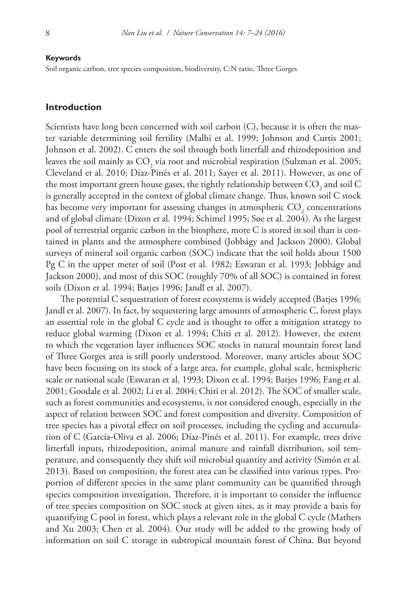#### **Keywords**

Soil organic carbon, tree species composition, biodiversity, C:N ratio, Three Gorges

## **Introduction**

Scientists have long been concerned with soil carbon (C), because it is often the master variable determining soil fertility (Malhi et al. 1999; Johnson and Curtis 2001; Johnson et al. 2002). C enters the soil through both litterfall and rhizodeposition and leaves the soil mainly as  $\text{CO}_2$  via root and microbial respiration (Sulzman et al. 2005; Cleveland et al. 2010; Díaz-Pinés et al. 2011; Sayer et al. 2011). However, as one of the most important green house gases, the tightly relationship between  $\mathrm{CO}_2$  and soil  $\mathrm{C}$ is generally accepted in the context of global climate change. Thus, known soil C stock has become very important for assessing changes in atmospheric  $\mathrm{CO}_2$  concentrations and of global climate (Dixon et al. 1994; Schimel 1995; Søe et al. 2004). As the largest pool of terrestrial organic carbon in the biosphere, more C is stored in soil than is contained in plants and the atmosphere combined (Jobbágy and Jackson 2000). Global surveys of mineral soil organic carbon (SOC) indicate that the soil holds about 1500 Pg C in the upper meter of soil (Post et al. 1982; Eswaran et al. 1993; Jobbágy and Jackson 2000), and most of this SOC (roughly 70% of all SOC) is contained in forest soils (Dixon et al. 1994; Batjes 1996; Jandl et al. 2007).

The potential C sequestration of forest ecosystems is widely accepted (Batjes 1996; Jandl et al. 2007). In fact, by sequestering large amounts of atmospheric C, forest plays an essential role in the global C cycle and is thought to offer a mitigation strategy to reduce global warming (Dixon et al. 1994; Chiti et al. 2012). However, the extent to which the vegetation layer influences SOC stocks in natural mountain forest land of Three Gorges area is still poorly understood. Moreover, many articles about SOC have been focusing on its stock of a large area, for example, global scale, hemispheric scale or national scale (Eswaran et al. 1993; Dixon et al. 1994; Batjes 1996; Fang et al. 2001; Goodale et al. 2002; Li et al. 2004; Chiti et al. 2012). The SOC of smaller scale, such as forest communities and ecosystems, is not considered enough, especially in the aspect of relation between SOC and forest composition and diversity. Composition of tree species has a pivotal effect on soil processes, including the cycling and accumulation of C (García-Oliva et al. 2006; Díaz-Pinés et al. 2011). For example, trees drive litterfall inputs, rhizodeposition, animal manure and rainfall distribution, soil temperature, and consequently they shift soil microbial quantity and activity (Simón et al. 2013). Based on composition, the forest area can be classified into various types. Proportion of different species in the same plant community can be quantified through species composition investigation. Therefore, it is important to consider the influence of tree species composition on SOC stock at given sites, as it may provide a basis for quantifying C pool in forest, which plays a relevant role in the global C cycle (Mathers and Xu 2003; Chen et al. 2004). Our study will be added to the growing body of information on soil C storage in subtropical mountain forest of China. But beyond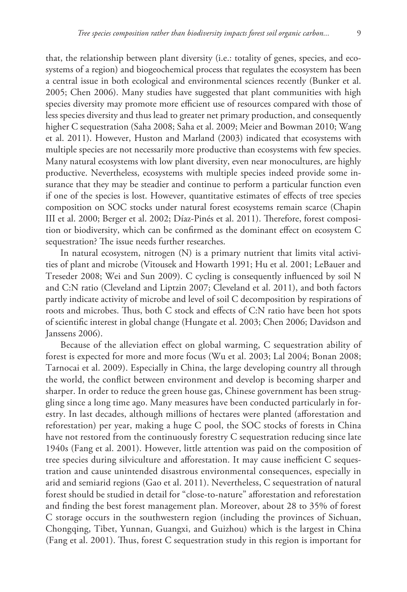that, the relationship between plant diversity (i.e.: totality of genes, species, and ecosystems of a region) and biogeochemical process that regulates the ecosystem has been a central issue in both ecological and environmental sciences recently (Bunker et al. 2005; Chen 2006). Many studies have suggested that plant communities with high species diversity may promote more efficient use of resources compared with those of less species diversity and thus lead to greater net primary production, and consequently higher C sequestration (Saha 2008; Saha et al. 2009; Meier and Bowman 2010; Wang et al. 2011). However, Huston and Marland (2003) indicated that ecosystems with multiple species are not necessarily more productive than ecosystems with few species. Many natural ecosystems with low plant diversity, even near monocultures, are highly productive. Nevertheless, ecosystems with multiple species indeed provide some insurance that they may be steadier and continue to perform a particular function even if one of the species is lost. However, quantitative estimates of effects of tree species composition on SOC stocks under natural forest ecosystems remain scarce (Chapin III et al. 2000; Berger et al. 2002; Díaz-Pinés et al. 2011). Therefore, forest composition or biodiversity, which can be confirmed as the dominant effect on ecosystem C sequestration? The issue needs further researches.

In natural ecosystem, nitrogen (N) is a primary nutrient that limits vital activities of plant and microbe (Vitousek and Howarth 1991; Hu et al. 2001; LeBauer and Treseder 2008; Wei and Sun 2009). C cycling is consequently influenced by soil N and C:N ratio (Cleveland and Liptzin 2007; Cleveland et al. 2011), and both factors partly indicate activity of microbe and level of soil C decomposition by respirations of roots and microbes. Thus, both C stock and effects of C:N ratio have been hot spots of scientific interest in global change (Hungate et al. 2003; Chen 2006; Davidson and Janssens 2006).

Because of the alleviation effect on global warming, C sequestration ability of forest is expected for more and more focus (Wu et al. 2003; Lal 2004; Bonan 2008; Tarnocai et al. 2009). Especially in China, the large developing country all through the world, the conflict between environment and develop is becoming sharper and sharper. In order to reduce the green house gas, Chinese government has been struggling since a long time ago. Many measures have been conducted particularly in forestry. In last decades, although millions of hectares were planted (afforestation and reforestation) per year, making a huge C pool, the SOC stocks of forests in China have not restored from the continuously forestry C sequestration reducing since late 1940s (Fang et al. 2001). However, little attention was paid on the composition of tree species during silviculture and afforestation. It may cause inefficient C sequestration and cause unintended disastrous environmental consequences, especially in arid and semiarid regions (Gao et al. 2011). Nevertheless, C sequestration of natural forest should be studied in detail for "close-to-nature" afforestation and reforestation and finding the best forest management plan. Moreover, about 28 to 35% of forest C storage occurs in the southwestern region (including the provinces of Sichuan, Chongqing, Tibet, Yunnan, Guangxi, and Guizhou) which is the largest in China (Fang et al. 2001). Thus, forest C sequestration study in this region is important for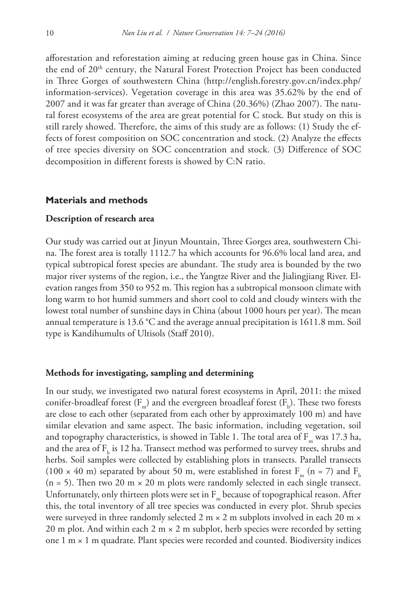afforestation and reforestation aiming at reducing green house gas in China. Since the end of 20<sup>th</sup> century, the Natural Forest Protection Project has been conducted in Three Gorges of southwestern China ([http://english.forestry.gov.cn/index.php/](http://english.forestry.gov.cn/index.php/information-services) [information-services\)](http://english.forestry.gov.cn/index.php/information-services). Vegetation coverage in this area was 35.62% by the end of 2007 and it was far greater than average of China (20.36%) (Zhao 2007). The natural forest ecosystems of the area are great potential for C stock. But study on this is still rarely showed. Therefore, the aims of this study are as follows: (1) Study the effects of forest composition on SOC concentration and stock. (2) Analyze the effects of tree species diversity on SOC concentration and stock. (3) Difference of SOC decomposition in different forests is showed by C:N ratio.

## **Materials and methods**

#### **Description of research area**

Our study was carried out at Jinyun Mountain, Three Gorges area, southwestern China. The forest area is totally 1112.7 ha which accounts for 96.6% local land area, and typical subtropical forest species are abundant. The study area is bounded by the two major river systems of the region, i.e., the Yangtze River and the Jialingjiang River. Elevation ranges from 350 to 952 m. This region has a subtropical monsoon climate with long warm to hot humid summers and short cool to cold and cloudy winters with the lowest total number of sunshine days in China (about 1000 hours per year). The mean annual temperature is 13.6 °C and the average annual precipitation is 1611.8 mm. Soil type is Kandihumults of Ultisols (Staff 2010).

#### **Methods for investigating, sampling and determining**

In our study, we investigated two natural forest ecosystems in April, 2011: the mixed conifer-broadleaf forest (F<sub>m</sub>) and the evergreen broadleaf forest (F<sub>b</sub>). These two forests are close to each other (separated from each other by approximately 100 m) and have similar elevation and same aspect. The basic information, including vegetation, soil and topography characteristics, is showed in Table 1. The total area of  $F_m$  was 17.3 ha, and the area of  $\text{F}_{\text{b}}$  is 12 ha. Transect method was performed to survey trees, shrubs and herbs. Soil samples were collected by establishing plots in transects. Parallel transects (100  $\times$  40 m) separated by about 50 m, were established in forest F<sub>m</sub> (n = 7) and F<sub>b</sub> (n = 5). Then two 20 m  $\times$  20 m plots were randomly selected in each single transect. Unfortunately, only thirteen plots were set in  $F_m$  because of topographical reason. After this, the total inventory of all tree species was conducted in every plot. Shrub species were surveyed in three randomly selected 2 m  $\times$  2 m subplots involved in each 20 m  $\times$ 20 m plot. And within each 2 m  $\times$  2 m subplot, herb species were recorded by setting one 1 m × 1 m quadrate. Plant species were recorded and counted. Biodiversity indices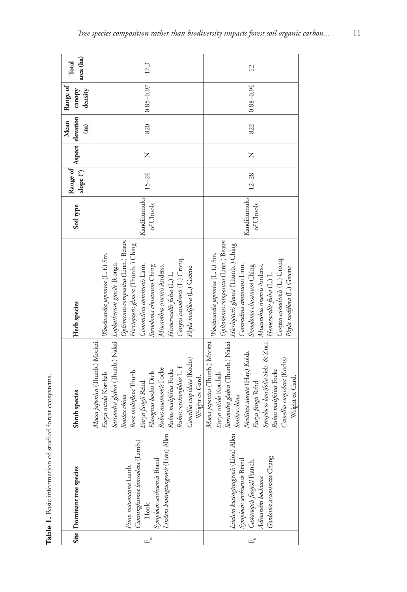|                      | Site Dominant tree species                                                                                                                                                 | Shrub species                                                                                                                                                                                                                                                                                       | Herb species                                                                                                                                                                                                                                                                                        | Soil type                   | slope (°)<br>Range of |   | Mean<br>$\widehat{\mathbf{H}}$ | Range of<br>Aspect elevation canopy<br>density | area (ha)<br>Total |
|----------------------|----------------------------------------------------------------------------------------------------------------------------------------------------------------------------|-----------------------------------------------------------------------------------------------------------------------------------------------------------------------------------------------------------------------------------------------------------------------------------------------------|-----------------------------------------------------------------------------------------------------------------------------------------------------------------------------------------------------------------------------------------------------------------------------------------------------|-----------------------------|-----------------------|---|--------------------------------|------------------------------------------------|--------------------|
| $F_{\rm c}$          | Symplocos setchuensis Brand<br>  I <i>indera kuangtungensis</i> (Liou) Allen   Rubus assamensis Focke<br>Cunninghamia lanceolata (Lamb.<br>Pinus massoniana Lamb.<br>Hook. | Sarcandra glabra (Thunb.) Nakai   Lophatherum gracile Brongn.<br>Maesa japonica (Thunb.) Moritzi.<br>Camellia cuspidata (Kochs)<br>Rubus corchorifolius L. f.<br>Rosa multiflora Thunb.<br>Elaeagnus bockii Diels<br>Eurya nitida Korthals<br>Wright ex Gard.<br>Eurya fangii Rehd.<br>Smilax china | Oplismenus compositus (Linn.) Beauv.<br>Hicriopteris glauca (Thunb.) Ching<br>Woodwardia japonica (L. f.) Sm.<br>Conyza canadensis (L.) Cronq.<br>Commelina communis Linn.<br>Stenoloma chusanum Ching<br>Miscanthus sinensis Anderss.<br>Phyla nodiflora (L.) Greene<br>Hemerocallis fulva (L.) L. | Kandihumults<br>of Ultisols | $15 - 24$             | Z | 820                            | $0.85 - 0.97$                                  | 17.3               |
| $\mathbb{H}^{\circ}$ | Lindera kwangtungensis (Liou) Allen<br>Gordonia acuminata Chang<br>Symplocos setchuensis Brand<br>Castanopsis fargesii Franch.<br>Adinandra bockiana                       | Maesa japonica (Thunb.) Moritzi.   Woodwardia japonica (L. f.) Sm.<br>Symphoos lancifolia Sieb. & Zucc. Feemerocallis fulua (L.) L.<br>Neolitsea aurata (Hay.) Koidz<br>Camellia cuspidata (Kochs)<br>Rubus malifolius Focke<br>Wright ex Gard.<br>Eurya fangii Rehd.<br>Smilax china               | Sarcandra glabra (Thunb.) Nakai   $Op$ lismenus compositus (Linn.) Beauv.<br>Hicriopteris glauca (Thunb.) Ching<br>Conyza canadensis (L.) Cronq.<br>Commelina communis Linn.<br>Stenoloma chusanum Ching<br>Miscanthus sinensis Anderss.<br>Phyla nodiflora (L.) Greene                             | Kandihumults<br>of Ultisols | $12 - 28$             | Z | 822                            | $0.88 - 0.94$                                  | $\overline{12}$    |

Table 1. Basic information of studied forest ecosystems. **Table 1.** Basic information of studied forest ecosystems.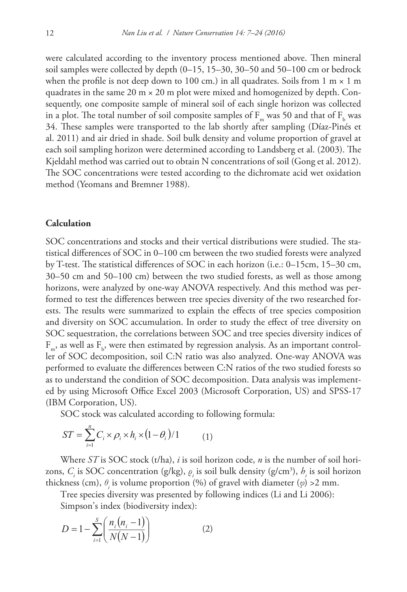were calculated according to the inventory process mentioned above. Then mineral soil samples were collected by depth (0–15, 15–30, 30–50 and 50–100 cm or bedrock when the profile is not deep down to 100 cm.) in all quadrates. Soils from  $1 \text{ m} \times 1 \text{ m}$ quadrates in the same 20  $m \times 20$  m plot were mixed and homogenized by depth. Consequently, one composite sample of mineral soil of each single horizon was collected in a plot. The total number of soil composite samples of  $F_m$  was 50 and that of  $F_b$  was 34. These samples were transported to the lab shortly after sampling (Díaz-Pinés et al. 2011) and air dried in shade. Soil bulk density and volume proportion of gravel at each soil sampling horizon were determined according to Landsberg et al. (2003). The Kjeldahl method was carried out to obtain N concentrations of soil (Gong et al. 2012). The SOC concentrations were tested according to the dichromate acid wet oxidation method (Yeomans and Bremner 1988).

#### **Calculation**

SOC concentrations and stocks and their vertical distributions were studied. The statistical differences of SOC in 0–100 cm between the two studied forests were analyzed by T-test. The statistical differences of SOC in each horizon (i.e.: 0–15cm, 15–30 cm, 30–50 cm and 50–100 cm) between the two studied forests, as well as those among horizons, were analyzed by one-way ANOVA respectively. And this method was performed to test the differences between tree species diversity of the two researched forests. The results were summarized to explain the effects of tree species composition and diversity on SOC accumulation. In order to study the effect of tree diversity on SOC sequestration, the correlations between SOC and tree species diversity indices of  $F_{m}$ , as well as  $F_{b}$ , were then estimated by regression analysis. As an important controller of SOC decomposition, soil C:N ratio was also analyzed. One-way ANOVA was performed to evaluate the differences between C:N ratios of the two studied forests so as to understand the condition of SOC decomposition. Data analysis was implemented by using Microsoft Office Excel 2003 (Microsoft Corporation, US) and SPSS-17 (IBM Corporation, US).

SOC stock was calculated according to following formula:

$$
ST = \sum_{i=1}^{n} C_i \times \rho_i \times h_i \times (1 - \theta_i) / 1 \tag{1}
$$

zons,  $C_i$  is SOC concentration (g/kg),  $\rho_i$  is soil bulk density (g/cm<sup>3</sup>),  $h_i$  is soil horizon zons,  $C_i$  is SOC concentration (g/kg),  $\varrho_i$  is soil bulk density (g/cm<sup>3</sup>),  $h_i$  is soil has thickness (cm),  $\theta_i$  is volume proportion (%) of gravel with diameter ( $\varphi$ ) >2 mm.<br>Tree species diversity was presented by Where *ST* is SOC stock (t/ha), *i* is soil horizon code, *n* is the number of soil hori-

*k*ness (cm),  $v_i$  is volume proportion (%) or gravel with diameter (∅) >2 mn<br>Tree species diversity was presented by following indices (Li and Li 2006):

Simpson's index (biodiversity index):

$$
D = 1 - \sum_{i=1}^{S} \left( \frac{n_i (n_i - 1)}{N(N - 1)} \right)
$$
 (2)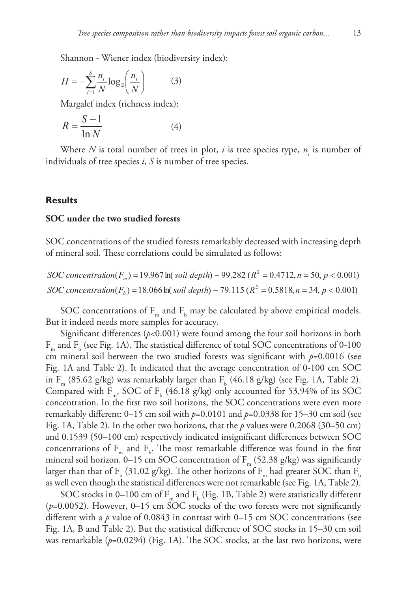Shannon - Wiener index (biodiversity index):

$$
H = -\sum_{i=1}^{S} \frac{n_i}{N} \log_2 \left( \frac{n_i}{N} \right) \tag{3}
$$

Margalef index (richness index): *n* = × × × − *ST Ci <sup>i</sup> hi <sup>i</sup>*

$$
R = \frac{S - 1}{\ln N}
$$
 (4)

Where *N* is total number of trees in plot, *i* is tree species type,  $n_i$  is number of individuals of tree species *i*, *S* is number of tree species. *i* ⊥( *f* trees in pla *N N <sup>n</sup> <sup>n</sup> <sup>D</sup>*  $\frac{\cosh n}{\cosh n}$ of trees in plot

## **Results**

## SOC under the two studied forests

SOC concentrations of the studied forests remarkably deg SOC concentrations of the studied forests remarkably decreased with increasing depth *N* of mineral soil. These correlations could be simulated as follows: *<sup>S</sup> <sup>R</sup>* ied  $\frac{1}{2}$ 

> $SOC concentration(F_b) = 18.066 \text{ ln}(\text{solid depth}) - 79.115 \text{ (}R^2 = 0.5818, n = 34, p < 0.001\text{)}$  $SOC\ concentration(F_m) = 19.967 \ln(\ solid\ depth) - 99.282 \left( R^2 = 0.4712, n = 50, p < 0.001 \right)$

SOC concentrations of  $F_m$  and  $F_b$  may be calculated by above empirical models.<br>it indeed needs more samples for accuracy. *SOC stock F soil depth R n p m* But it indeed needs more samples for accuracy.

Significant differences ( $p$ <0.001) were found among the four soil horizons in both  $F_{\rm m}$  and  $F_{\rm b}$  (see Fig. 1A). The statistical difference of total SOC concentrations of 0-100 cm mineral soil between the two studied forests was significant with  $p=0.0016$  (see Fig. 1A and Table 2). It indicated that the average concentration of 0-100 cm SOC in F<sub>m</sub> (85.62 g/kg) was remarkably larger than F<sub>b</sub> (46.18 g/kg) (see Fig. 1A, Table 2). Compared with  $F_m$ , SOC of  $F_b$  (46.18 g/kg) only accounted for 53.94% of its SOC concentration. In the first two soil horizons, the SOC concentrations were even more remarkably different: 0–15 cm soil with *p*=0.0101 and *p*=0.0338 for 15–30 cm soil (see Fig. 1A, Table 2). In the other two horizons, that the *p* values were 0.2068 (30–50 cm) and 0.1539 (50–100 cm) respectively indicated insignificant differences between SOC concentrations of  $F_m$  and  $F_b$ . The most remarkable difference was found in the first mineral soil horizon. 0–15 cm SOC concentration of  $F_m$  (52.38 g/kg) was significantly larger than that of  $\rm F_b$  (31.02 g/kg). The other horizons of  $\rm F_m$  had greater SOC than  $\rm F_b$ as well even though the statistical differences were not remarkable (see Fig. 1A, Table 2).

SOC stocks in 0–100 cm of  $F_m$  and  $F_b$  (Fig. 1B, Table 2) were statistically different (*p*=0.0052). However, 0–15 cm SOC stocks of the two forests were not significantly different with a *p* value of 0.0843 in contrast with 0–15 cm SOC concentrations (see Fig. 1A, B and Table 2). But the statistical difference of SOC stocks in 15–30 cm soil was remarkable  $(p=0.0294)$  (Fig. 1A). The SOC stocks, at the last two horizons, were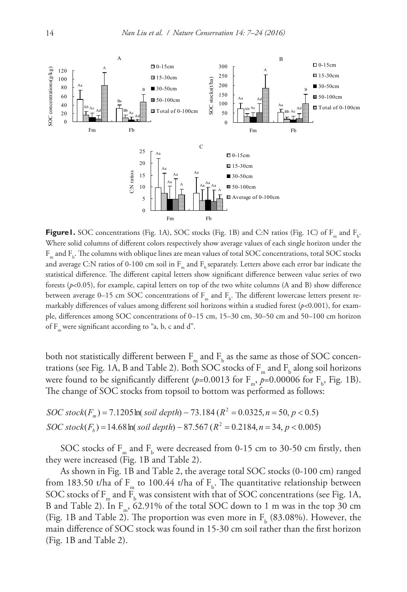

**Figure 1.** SOC concentrations (Fig. 1A), SOC stocks (Fig. 1B) and C:N ratios (Fig. 1C) of  $F_m$  and  $F_b$ . **Figure 1.** SOC concentrations (Fig. 1A), SOC stocks (Fig. 1D) and C:IN ratios (Fig. 1C) or F<sub>m</sub> and F<sub>b</sub>.<br>Where solid columns of different colors respectively show average values of each single horizon under the<br>F⊥and F⊥ Fm and Fb . The columns with oblique lines are mean values of total SOC concentrations, total SOC stocks − *i N N* <sup>1</sup> 1 and average C:N ratios of 0-100 cm soil in  $F_m$  and  $F_b$  separately. Letters above each error bar indicate the statistical difference. The different capital letters show significant difference between value series of two *S* forests ( $p$ <0.05), for example, capital letters on top of the two white columns (A and B) show difference forests (*p*<0.05), for example, capital letters on top of the two white columns (A and B) show difference<br>between average 0–15 cm SOC concentrations of  $F_m$  and  $F_b$ . The different lowercase letters present remarkably differences of values among different soil horizons within a studied forest (*p*<0.001), for example, differences among SOC concentrations of 0–15 cm, 15–30 cm, 30–50 cm and 50–100 cm horizon  $\frac{1}{2}$   $\sigma$   $\frac{1}{2}$   $\sigma$   $\frac{1}{2}$   $\sigma$   $\frac{1}{2}$   $\sigma$   $\frac{1}{2}$   $\sigma$   $\frac{1}{2}$   $\sigma$   $\frac{1}{2}$   $\sigma$   $\frac{1}{2}$   $\sigma$   $\frac{1}{2}$   $\sigma$   $\frac{1}{2}$   $\sigma$   $\frac{1}{2}$   $\sigma$   $\frac{1}{2}$   $\sigma$   $\frac{1}{2}$   $\sigma$   $\frac{1}{2}$   $\sigma$   $\frac{1}{2}$ 

both not statistically different between  $\rm F_{m}$  and  $\rm F_{b}$  as the same as those of SOC concentrations (see Fig. 1A, B and Table 2). Both SOC stocks of  $F_m$  and  $F_b$  along soil horizons were found to be significantly different ( $p=0.0013$  for  $F_{m}$ ,  $p=0.00006$  for  $F_{b}$ , Fig. 1B). The change of SOC stocks from topsoil to bottom was performed as follows: *m*

$$
SOC stock(F_m) = 7.1205 \ln(\text{soil depth}) - 73.184 (R^2 = 0.0325, n = 50, p < 0.5)
$$
\n
$$
SOC stock(F_b) = 14.68 \ln(\text{soil depth}) - 87.567 (R^2 = 0.2184, n = 34, p < 0.005)
$$

SOC stocks of  $\text{F}_{\text{m}}$  and  $\text{F}_{\text{b}}$  were decreased from 0-15 cm to 30-50 cm firstly, then they were increased (Fig. 1B and Table 2).

As shown in Fig. 1B and Table 2, the average total SOC stocks (0-100 cm) ranged from 183.50 t/ha of  $F_m$  to 100.44 t/ha of  $F_b$ . The quantitative relationship between SOC stocks of  $F_m$  and  $F_b$  was consistent with that of SOC concentrations (see Fig. 1A, B and Table 2). In  $F_n$ , 62.91% of the total SOC down to 1 m was in the top 30 cm (Fig. 1B and Table 2). The proportion was even more in  $F_b$  (83.08%). However, the main difference of SOC stock was found in 15-30 cm soil rather than the first horizon (Fig. 1B and Table 2).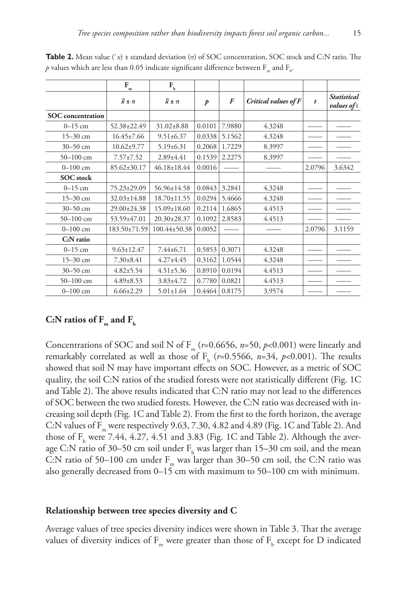|                          | $\mathbf{F}_{_{\underline{m}}}$ | $F_{b}$                   |                  |        |                      |                  |                                          |
|--------------------------|---------------------------------|---------------------------|------------------|--------|----------------------|------------------|------------------------------------------|
|                          | $\overline{x} \pm \sigma$       | $\overline{x} \pm \sigma$ | $\boldsymbol{p}$ | F      | Critical values of F | $\boldsymbol{t}$ | <b>Statistical</b><br><i>values</i> of t |
| <b>SOC</b> concentration |                                 |                           |                  |        |                      |                  |                                          |
| $0 - 15$ cm              | 52.38±22.49                     | $31.02 \pm 8.88$          | 0.0101           | 7.9880 | 4.3248               |                  |                                          |
| $15 - 30$ cm             | $16.45 \pm 7.66$                | $9.51 \pm 6.37$           | 0.0338           | 5.1562 | 4.3248               |                  |                                          |
| 30-50 cm                 | $10.62 \pm 9.77$                | $5.19 \pm 6.31$           | 0.2068           | 1.7229 | 8.3997               |                  |                                          |
| $50 - 100$ cm            | $7.57 \pm 7.52$                 | 2.89±4.41                 | 0.1539           | 2.2275 | 8.3997               |                  |                                          |
| $0 - 100$ cm             | 85.62±30.17                     | $46.18 \pm 18.44$         | 0.0016           |        |                      | 2.0796           | 3.6342                                   |
| <b>SOC</b> stock         |                                 |                           |                  |        |                      |                  |                                          |
| $0 - 15$ cm              | 75.23±29.09                     | 56.96±14.58               | 0.0843           | 3.2841 | 4.3248               |                  |                                          |
| $15 - 30$ cm             | $32.03 \pm 14.88$               | $18.70 \pm 11.55$         | 0.0294           | 5.4666 | 4.3248               |                  |                                          |
| 30-50 cm                 | 29.00±24.38                     | $15.09 \pm 18.60$         | 0.2114           | 1.6865 | 4.4513               |                  |                                          |
| $50 - 100$ cm            | 53.59±47.01                     | $20.30 \pm 28.37$         | 0.1092           | 2.8583 | 4.4513               |                  |                                          |
| $0 - 100$ cm             | 183.50±71.59                    | 100.44±50.38              | 0.0052           |        |                      | 2.0796           | 3.1159                                   |
| C:N ratio                |                                 |                           |                  |        |                      |                  |                                          |
| $0 - 15$ cm              | $9.63 \pm 12.47$                | 7.44±6.71                 | 0.5853           | 0.3071 | 4.3248               |                  |                                          |
| $15 - 30$ cm             | $7.30 \pm 8.41$                 | $4.27 \pm 4.45$           | 0.3162           | 1.0544 | 4.3248               |                  |                                          |
| 30-50 cm                 | $4.82 \pm 5.54$                 | $4.51 \pm 5.36$           | 0.8910           | 0.0194 | 4.4513               |                  |                                          |
| $50 - 100$ cm            | $4.89 \pm 8.53$                 | $3.83 \pm 4.72$           | 0.7780           | 0.0821 | 4.4513               |                  |                                          |
| $0 - 100$ cm             | $6.66 \pm 2.29$                 | $5.01 \pm 1.64$           | 0.4464           | 0.8175 | 3.9574               |                  |                                          |

**Table 2.** Mean value (`*x*) ± standard deviation (σ) of SOC concentration, SOC stock and C:N ratio. The  $p$  values which are less than 0.05 indicate significant difference between  $\rm F_{m}$  and  $\rm F_{b}.$ 

## C:N ratios of  $F_m$  and  $F_b$

Concentrations of SOC and soil N of F<sub>m</sub> ( $r=0.6656$ ,  $n=50$ ,  $p<0.001$ ) were linearly and remarkably correlated as well as those of  $F_b$  (*r*=0.5566, *n*=34, *p*<0.001). The results showed that soil N may have important effects on SOC. However, as a metric of SOC quality, the soil C:N ratios of the studied forests were not statistically different (Fig. 1C and Table 2). The above results indicated that C:N ratio may not lead to the differences of SOC between the two studied forests. However, the C:N ratio was decreased with increasing soil depth (Fig. 1C and Table 2). From the first to the forth horizon, the average C:N values of  $F_m$  were respectively 9.63, 7.30, 4.82 and 4.89 (Fig. 1C and Table 2). And those of  $F_b$  were 7.44, 4.27, 4.51 and 3.83 (Fig. 1C and Table 2). Although the average C:N ratio of 30–50 cm soil under  $F_b$  was larger than 15–30 cm soil, and the mean C:N ratio of 50–100 cm under  $F_m$  was larger than 30–50 cm soil, the C:N ratio was also generally decreased from 0–15 cm with maximum to 50–100 cm with minimum.

#### **Relationship between tree species diversity and C**

Average values of tree species diversity indices were shown in Table 3. That the average values of diversity indices of  $\text{F}_{_{\text{m}}}$  were greater than those of  $\text{F}_{_{\text{b}}}$  except for  $\text{D}$  indicated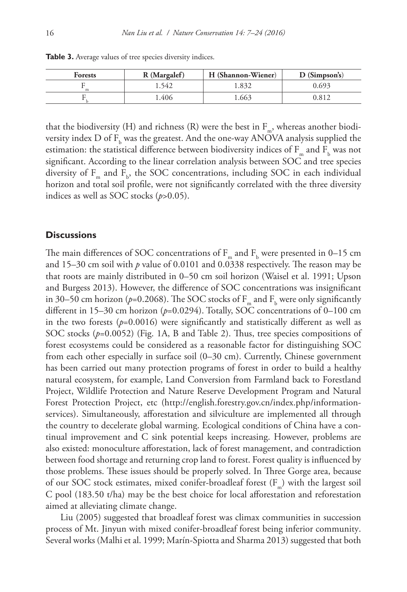| <b>Forests</b> | R (Margalef) | H (Shannon-Wiener) | $D$ (Simpson's) |
|----------------|--------------|--------------------|-----------------|
|                | 1.542        | .832               | 0.693           |
|                | .406         | .663               | 0.812           |

**Table 3.** Average values of tree species diversity indices.

that the biodiversity (H) and richness (R) were the best in  $F_m$ , whereas another biodiversity index D of  $\text{F}_{\text{b}}$  was the greatest. And the one-way ANOVA analysis supplied the estimation: the statistical difference between biodiversity indices of  $F_m$  and  $F_b$  was not significant. According to the linear correlation analysis between SOC and tree species diversity of  $F_m$  and  $F_b$ , the SOC concentrations, including SOC in each individual horizon and total soil profile, were not significantly correlated with the three diversity indices as well as SOC stocks (*p*>0.05).

## **Discussions**

The main differences of SOC concentrations of  $F_m$  and  $F_b$  were presented in 0–15 cm and 15–30 cm soil with *p* value of 0.0101 and 0.0338 respectively. The reason may be that roots are mainly distributed in 0–50 cm soil horizon (Waisel et al. 1991; Upson and Burgess 2013). However, the difference of SOC concentrations was insignificant in 30–50 cm horizon ( $p$ =0.2068). The SOC stocks of  $F_m$  and  $F_b$  were only significantly different in 15–30 cm horizon (*p*=0.0294). Totally, SOC concentrations of 0–100 cm in the two forests  $(p=0.0016)$  were significantly and statistically different as well as SOC stocks (*p*=0.0052) (Fig. 1A, B and Table 2). Thus, tree species compositions of forest ecosystems could be considered as a reasonable factor for distinguishing SOC from each other especially in surface soil (0–30 cm). Currently, Chinese government has been carried out many protection programs of forest in order to build a healthy natural ecosystem, for example, Land Conversion from Farmland back to Forestland Project, Wildlife Protection and Nature Reserve Development Program and Natural Forest Protection Project, etc [\(http://english.forestry.gov.cn/index.php/information](http://english.forestry.gov.cn/index.php/information-services)[services](http://english.forestry.gov.cn/index.php/information-services)). Simultaneously, afforestation and silviculture are implemented all through the country to decelerate global warming. Ecological conditions of China have a continual improvement and C sink potential keeps increasing. However, problems are also existed: monoculture afforestation, lack of forest management, and contradiction between food shortage and returning crop land to forest. Forest quality is influenced by those problems. These issues should be properly solved. In Three Gorge area, because of our SOC stock estimates, mixed conifer-broadleaf forest  $(F_m)$  with the largest soil C pool (183.50 t/ha) may be the best choice for local afforestation and reforestation aimed at alleviating climate change.

Liu (2005) suggested that broadleaf forest was climax communities in succession process of Mt. Jinyun with mixed conifer-broadleaf forest being inferior community. Several works (Malhi et al. 1999; Marín‐Spiotta and Sharma 2013) suggested that both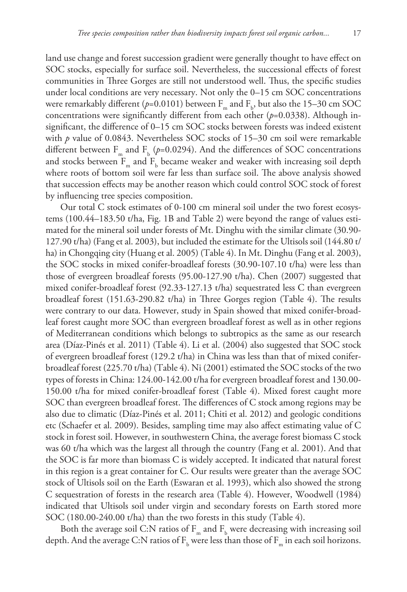land use change and forest succession gradient were generally thought to have effect on SOC stocks, especially for surface soil. Nevertheless, the successional effects of forest communities in Three Gorges are still not understood well. Thus, the specific studies under local conditions are very necessary. Not only the 0–15 cm SOC concentrations were remarkably different ( $p$ =0.0101) between  $\rm F_{m}$  and  $\rm F_{b}$ , but also the 15–30 cm SOC concentrations were significantly different from each other (*p*=0.0338). Although insignificant, the difference of 0–15 cm SOC stocks between forests was indeed existent with *p* value of 0.0843. Nevertheless SOC stocks of 15–30 cm soil were remarkable different between  $F_m$  and  $F_b$  ( $p=0.0294$ ). And the differences of SOC concentrations and stocks between  $F_m$  and  $F_b$  became weaker and weaker with increasing soil depth where roots of bottom soil were far less than surface soil. The above analysis showed that succession effects may be another reason which could control SOC stock of forest by influencing tree species composition.

Our total C stock estimates of 0-100 cm mineral soil under the two forest ecosystems (100.44–183.50 t/ha, Fig. 1B and Table 2) were beyond the range of values estimated for the mineral soil under forests of Mt. Dinghu with the similar climate (30.90- 127.90 t/ha) (Fang et al. 2003), but included the estimate for the Ultisols soil (144.80 t/ ha) in Chongqing city (Huang et al. 2005) (Table 4). In Mt. Dinghu (Fang et al. 2003), the SOC stocks in mixed conifer-broadleaf forests (30.90-107.10 t/ha) were less than those of evergreen broadleaf forests (95.00-127.90 t/ha). Chen (2007) suggested that mixed conifer-broadleaf forest (92.33-127.13 t/ha) sequestrated less C than evergreen broadleaf forest (151.63-290.82 t/ha) in Three Gorges region (Table 4). The results were contrary to our data. However, study in Spain showed that mixed conifer-broadleaf forest caught more SOC than evergreen broadleaf forest as well as in other regions of Mediterranean conditions which belongs to subtropics as the same as our research area (Díaz-Pinés et al. 2011) (Table 4). Li et al. (2004) also suggested that SOC stock of evergreen broadleaf forest (129.2 t/ha) in China was less than that of mixed coniferbroadleaf forest (225.70 t/ha) (Table 4). Ni (2001) estimated the SOC stocks of the two types of forests in China: 124.00-142.00 t/ha for evergreen broadleaf forest and 130.00- 150.00 t/ha for mixed conifer-broadleaf forest (Table 4). Mixed forest caught more SOC than evergreen broadleaf forest. The differences of C stock among regions may be also due to climatic (Díaz-Pinés et al. 2011; Chiti et al. 2012) and geologic conditions etc (Schaefer et al. 2009). Besides, sampling time may also affect estimating value of C stock in forest soil. However, in southwestern China, the average forest biomass C stock was 60 t/ha which was the largest all through the country (Fang et al. 2001). And that the SOC is far more than biomass C is widely accepted. It indicated that natural forest in this region is a great container for C. Our results were greater than the average SOC stock of Ultisols soil on the Earth (Eswaran et al. 1993), which also showed the strong C sequestration of forests in the research area (Table 4). However, Woodwell (1984) indicated that Ultisols soil under virgin and secondary forests on Earth stored more SOC (180.00-240.00 t/ha) than the two forests in this study (Table 4).

Both the average soil C:N ratios of  $\text{F}_{_{\text{m}}}$  and  $\text{F}_{_{\text{b}}}$  were decreasing with increasing soil depth. And the average C:N ratios of  $F_{b}$  were less than those of  $F_{m}$  in each soil horizons.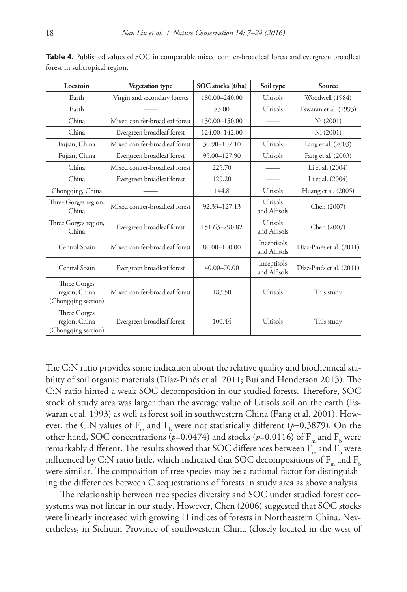| Locatoin                                             | <b>Vegetation type</b>                   | SOC stocks (t/ha) | Soil type                       | Source                   |  |
|------------------------------------------------------|------------------------------------------|-------------------|---------------------------------|--------------------------|--|
| Earth                                                | Virgin and secondary forests             | 180.00-240.00     | Ultisols                        | Woodwell (1984)          |  |
| Earth                                                |                                          | 83.00             | Ultisols                        | Eswaran et al. (1993)    |  |
| China                                                | Mixed conifer-broadleaf forest           | 130.00-150.00     |                                 | Ni (2001)                |  |
| China                                                | Evergreen broadleaf forest               | 124.00-142.00     |                                 | Ni (2001)                |  |
| Fujian, China                                        | Mixed conifer-broadleaf forest           | 30.90-107.10      | Ultisols                        | Fang et al. (2003)       |  |
| Fujian, China                                        | Evergreen broadleaf forest               | 95.00-127.90      | Ultisols                        | Fang et al. (2003)       |  |
| China                                                | Mixed conifer-broadleaf forest<br>225.70 |                   | Li et al. (2004)                |                          |  |
| China                                                | Evergreen broadleaf forest<br>129.20     |                   | Li et al. (2004)                |                          |  |
| Chongqing, China                                     |                                          | 144.8             | Ultisols                        | Huang et al. (2005)      |  |
| Three Gorges region,<br>China                        | Mixed conifer-broadleaf forest           | 92.33-127.13      | <b>Ultisols</b><br>and Alfisols | Chen (2007)              |  |
| Three Gorges region,<br>China                        | Evergreen broadleaf forest               | 151.63-290.82     | Ultisols<br>and Alfisols        | Chen (2007)              |  |
| Central Spain                                        | Mixed conifer-broadleaf forest           | 80.00-100.00      | Inceptisols<br>and Alfisols     | Díaz-Pinés et al. (2011) |  |
| Central Spain                                        | Evergreen broadleaf forest               | 40.00-70.00       | Inceptisols<br>and Alfisols     | Díaz-Pinés et al. (2011) |  |
| Three Gorges<br>region, China<br>(Chongqing section) | Mixed conifer-broadleaf forest           | 183.50            | Ultisols                        | This study               |  |
| Three Gorges<br>region, China<br>(Chongqing section) | Evergreen broadleaf forest               | 100.44            | Ultisols                        | This study               |  |

**Table 4.** Published values of SOC in comparable mixed conifer-broadleaf forest and evergreen broadleaf forest in subtropical region.

The C:N ratio provides some indication about the relative quality and biochemical stability of soil organic materials (Díaz-Pinés et al. 2011; Bui and Henderson 2013). The C:N ratio hinted a weak SOC decomposition in our studied forests. Therefore, SOC stock of study area was larger than the average value of Utisols soil on the earth (Eswaran et al. 1993) as well as forest soil in southwestern China (Fang et al. 2001). However, the C:N values of  $F_m$  and  $F_b$  were not statistically different (*p*=0.3879). On the other hand, SOC concentrations ( $p=0.0474$ ) and stocks ( $p=0.0116$ ) of  $\rm F_{m}$  and  $\rm F_{b}$  were remarkably different. The results showed that SOC differences between  $\rm{F}_{_{m}}$  and  $\rm{F}_{_{b}}$  were influenced by C:N ratio little, which indicated that SOC decompositions of  $F_m$  and  $F_b$ were similar. The composition of tree species may be a rational factor for distinguishing the differences between C sequestrations of forests in study area as above analysis.

The relationship between tree species diversity and SOC under studied forest ecosystems was not linear in our study. However, Chen (2006) suggested that SOC stocks were linearly increased with growing H indices of forests in Northeastern China. Nevertheless, in Sichuan Province of southwestern China (closely located in the west of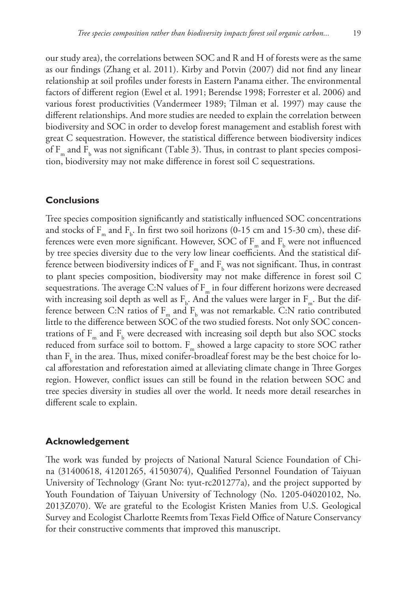our study area), the correlations between SOC and R and H of forests were as the same as our findings (Zhang et al. 2011). Kirby and Potvin (2007) did not find any linear relationship at soil profiles under forests in Eastern Panama either. The environmental factors of different region (Ewel et al. 1991; Berendse 1998; Forrester et al. 2006) and various forest productivities (Vandermeer 1989; Tilman et al. 1997) may cause the different relationships. And more studies are needed to explain the correlation between biodiversity and SOC in order to develop forest management and establish forest with great C sequestration. However, the statistical difference between biodiversity indices of  $F_m$  and  $F_b$  was not significant (Table 3). Thus, in contrast to plant species composition, biodiversity may not make difference in forest soil C sequestrations.

## **Conclusions**

Tree species composition significantly and statistically influenced SOC concentrations and stocks of  $F_m$  and  $F_b$ . In first two soil horizons (0-15 cm and 15-30 cm), these differences were even more significant. However, SOC of  $F_m$  and  $F_b$  were not influenced by tree species diversity due to the very low linear coefficients. And the statistical difference between biodiversity indices of  $\text{F}_{_{\text{m}}}$  and  $\text{F}_{_{\text{b}}}$  was not significant. Thus, in contrast to plant species composition, biodiversity may not make difference in forest soil C sequestrations. The average C:N values of  $F_m$  in four different horizons were decreased with increasing soil depth as well as  $\mathrm{F_{b}}$ . And the values were larger in  $\mathrm{F_{m}}$ . But the difference between C:N ratios of  $F_m$  and  $F_b$  was not remarkable. C:N ratio contributed little to the difference between SOC of the two studied forests. Not only SOC concentrations of  $F_m$  and  $F_b$  were decreased with increasing soil depth but also SOC stocks reduced from surface soil to bottom. F<sub>m</sub> showed a large capacity to store SOC rather than  $F_b$  in the area. Thus, mixed conifer-broadleaf forest may be the best choice for local afforestation and reforestation aimed at alleviating climate change in Three Gorges region. However, conflict issues can still be found in the relation between SOC and tree species diversity in studies all over the world. It needs more detail researches in different scale to explain.

#### **Acknowledgement**

The work was funded by projects of National Natural Science Foundation of China (31400618, 41201265, 41503074), Qualified Personnel Foundation of Taiyuan University of Technology (Grant No: tyut-rc201277a), and the project supported by Youth Foundation of Taiyuan University of Technology (No. 1205-04020102, No. 2013Z070). We are grateful to the Ecologist Kristen Manies from U.S. Geological Survey and Ecologist Charlotte Reemts from Texas Field Office of Nature Conservancy for their constructive comments that improved this manuscript.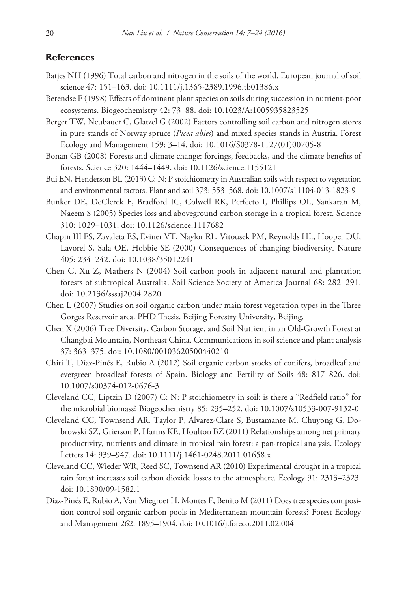#### **References**

- Batjes NH (1996) Total carbon and nitrogen in the soils of the world. European journal of soil science 47: 151–163. [doi: 10.1111/j.1365-2389.1996.tb01386.x](http://dx.doi.org/10.1111/j.1365-2389.1996.tb01386.x)
- Berendse F (1998) Effects of dominant plant species on soils during succession in nutrient-poor ecosystems. Biogeochemistry 42: 73–88. [doi: 10.1023/A:1005935823525](http://dx.doi.org/10.1023/A:1005935823525)
- Berger TW, Neubauer C, Glatzel G (2002) Factors controlling soil carbon and nitrogen stores in pure stands of Norway spruce (*Picea abies*) and mixed species stands in Austria. Forest Ecology and Management 159: 3–14. [doi: 10.1016/S0378-1127\(01\)00705-8](http://dx.doi.org/10.1016/S0378-1127(01)00705-8)
- Bonan GB (2008) Forests and climate change: forcings, feedbacks, and the climate benefits of forests. Science 320: 1444–1449. [doi: 10.1126/science.1155121](http://dx.doi.org/10.1126/science.1155121)
- Bui EN, Henderson BL (2013) C: N: P stoichiometry in Australian soils with respect to vegetation and environmental factors. Plant and soil 373: 553–568. [doi: 10.1007/s11104-013-1823-9](http://dx.doi.org/10.1007/s11104-013-1823-9)
- Bunker DE, DeClerck F, Bradford JC, Colwell RK, Perfecto I, Phillips OL, Sankaran M, Naeem S (2005) Species loss and aboveground carbon storage in a tropical forest. Science 310: 1029–1031. [doi: 10.1126/science.1117682](http://dx.doi.org/10.1126/science.1117682)
- Chapin III FS, Zavaleta ES, Eviner VT, Naylor RL, Vitousek PM, Reynolds HL, Hooper DU, Lavorel S, Sala OE, Hobbie SE (2000) Consequences of changing biodiversity. Nature 405: 234–242. [doi: 10.1038/35012241](http://dx.doi.org/10.1038/35012241)
- Chen C, Xu Z, Mathers N (2004) Soil carbon pools in adjacent natural and plantation forests of subtropical Australia. Soil Science Society of America Journal 68: 282–291. [doi: 10.2136/sssaj2004.2820](http://dx.doi.org/10.2136/sssaj2004.2820)
- Chen L (2007) Studies on soil organic carbon under main forest vegetation types in the Three Gorges Reservoir area. PHD Thesis. Beijing Forestry University, Beijing.
- Chen X (2006) Tree Diversity, Carbon Storage, and Soil Nutrient in an Old‐Growth Forest at Changbai Mountain, Northeast China. Communications in soil science and plant analysis 37: 363–375. [doi: 10.1080/00103620500440210](http://dx.doi.org/10.1080/00103620500440210)
- Chiti T, Díaz-Pinés E, Rubio A (2012) Soil organic carbon stocks of conifers, broadleaf and evergreen broadleaf forests of Spain. Biology and Fertility of Soils 48: 817–826. [doi:](http://dx.doi.org/10.1007/s00374-012-0676-3) [10.1007/s00374-012-0676-3](http://dx.doi.org/10.1007/s00374-012-0676-3)
- Cleveland CC, Liptzin D (2007) C: N: P stoichiometry in soil: is there a "Redfield ratio" for the microbial biomass? Biogeochemistry 85: 235–252. [doi: 10.1007/s10533-007-9132-0](http://dx.doi.org/10.1007/s10533-007-9132-0)
- Cleveland CC, Townsend AR, Taylor P, Alvarez‐Clare S, Bustamante M, Chuyong G, Dobrowski SZ, Grierson P, Harms KE, Houlton BZ (2011) Relationships among net primary productivity, nutrients and climate in tropical rain forest: a pan‐tropical analysis. Ecology Letters 14: 939–947. [doi: 10.1111/j.1461-0248.2011.01658.x](http://dx.doi.org/10.1111/j.1461-0248.2011.01658.x)
- Cleveland CC, Wieder WR, Reed SC, Townsend AR (2010) Experimental drought in a tropical rain forest increases soil carbon dioxide losses to the atmosphere. Ecology 91: 2313–2323. [doi: 10.1890/09-1582.1](http://dx.doi.org/10.1890/09-1582.1)
- Díaz-Pinés E, Rubio A, Van Miegroet H, Montes F, Benito M (2011) Does tree species composition control soil organic carbon pools in Mediterranean mountain forests? Forest Ecology and Management 262: 1895–1904. [doi: 10.1016/j.foreco.2011.02.004](http://dx.doi.org/10.1016/j.foreco.2011.02.004)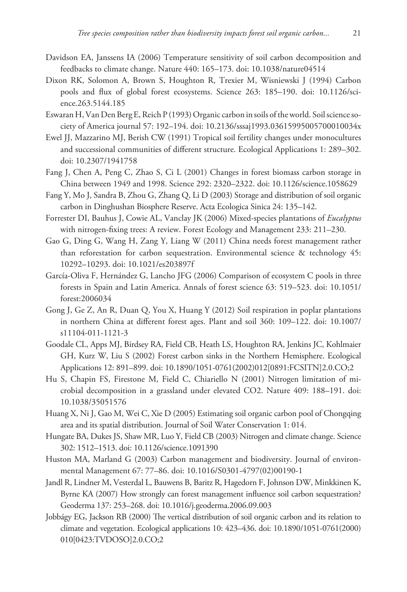- Davidson EA, Janssens IA (2006) Temperature sensitivity of soil carbon decomposition and feedbacks to climate change. Nature 440: 165–173. [doi: 10.1038/nature04514](http://dx.doi.org/10.1038/nature04514)
- Dixon RK, Solomon A, Brown S, Houghton R, Trexier M, Wisniewski J (1994) Carbon pools and flux of global forest ecosystems. Science 263: 185–190. [doi: 10.1126/sci](http://dx.doi.org/10.1126/science.263.5144.185)[ence.263.5144.185](http://dx.doi.org/10.1126/science.263.5144.185)
- Eswaran H, Van Den Berg E, Reich P (1993) Organic carbon in soils of the world. Soil science society of America journal 57: 192–194. [doi: 10.2136/sssaj1993.03615995005700010034x](http://dx.doi.org/10.2136/sssaj1993.03615995005700010034x)
- Ewel JJ, Mazzarino MJ, Berish CW (1991) Tropical soil fertility changes under monocultures and successional communities of different structure. Ecological Applications 1: 289–302. [doi: 10.2307/1941758](http://dx.doi.org/10.2307/1941758)
- Fang J, Chen A, Peng C, Zhao S, Ci L (2001) Changes in forest biomass carbon storage in China between 1949 and 1998. Science 292: 2320–2322. [doi: 10.1126/science.1058629](http://dx.doi.org/10.1126/science.1058629)
- Fang Y, Mo J, Sandra B, Zhou G, Zhang Q, Li D (2003) Storage and distribution of soil organic carbon in Dinghushan Biosphere Reserve. Acta Ecologica Sinica 24: 135–142.
- Forrester DI, Bauhus J, Cowie AL, Vanclay JK (2006) Mixed-species plantations of *Eucalyptus* with nitrogen-fixing trees: A review. Forest Ecology and Management 233: 211–230.
- Gao G, Ding G, Wang H, Zang Y, Liang W (2011) China needs forest management rather than reforestation for carbon sequestration. Environmental science & technology 45: 10292–10293. [doi: 10.1021/es203897f](http://dx.doi.org/10.1021/es203897f)
- García-Oliva F, Hernández G, Lancho JFG (2006) Comparison of ecosystem C pools in three forests in Spain and Latin America. Annals of forest science 63: 519–523. [doi: 10.1051/](http://dx.doi.org/10.1051/forest:2006034) [forest:2006034](http://dx.doi.org/10.1051/forest:2006034)
- Gong J, Ge Z, An R, Duan Q, You X, Huang Y (2012) Soil respiration in poplar plantations in northern China at different forest ages. Plant and soil 360: 109–122. [doi: 10.1007/](http://dx.doi.org/10.1007/s11104-011-1121-3) [s11104-011-1121-3](http://dx.doi.org/10.1007/s11104-011-1121-3)
- Goodale CL, Apps MJ, Birdsey RA, Field CB, Heath LS, Houghton RA, Jenkins JC, Kohlmaier GH, Kurz W, Liu S (2002) Forest carbon sinks in the Northern Hemisphere. Ecological Applications 12: 891–899. [doi: 10.1890/1051-0761\(2002\)012\[0891:FCSITN\]2.0.CO;2](http://dx.doi.org/10.1890/1051-0761(2002)012%5B0891:FCSITN%5D2.0.CO;2)
- Hu S, Chapin FS, Firestone M, Field C, Chiariello N (2001) Nitrogen limitation of microbial decomposition in a grassland under elevated CO2. Nature 409: 188–191. [doi:](http://dx.doi.org/10.1038/35051576) [10.1038/35051576](http://dx.doi.org/10.1038/35051576)
- Huang X, Ni J, Gao M, Wei C, Xie D (2005) Estimating soil organic carbon pool of Chongqing area and its spatial distribution. Journal of Soil Water Conservation 1: 014.
- Hungate BA, Dukes JS, Shaw MR, Luo Y, Field CB (2003) Nitrogen and climate change. Science 302: 1512–1513. [doi: 10.1126/science.1091390](http://dx.doi.org/10.1126/science.1091390)
- Huston MA, Marland G (2003) Carbon management and biodiversity. Journal of environmental Management 67: 77–86. [doi: 10.1016/S0301-4797\(02\)00190-1](http://dx.doi.org/10.1016/S0301-4797(02)00190-1)
- Jandl R, Lindner M, Vesterdal L, Bauwens B, Baritz R, Hagedorn F, Johnson DW, Minkkinen K, Byrne KA (2007) How strongly can forest management influence soil carbon sequestration? Geoderma 137: 253–268. [doi: 10.1016/j.geoderma.2006.09.003](http://dx.doi.org/10.1016/j.geoderma.2006.09.003)
- Jobbágy EG, Jackson RB (2000) The vertical distribution of soil organic carbon and its relation to climate and vegetation. Ecological applications 10: 423–436. [doi: 10.1890/1051-0761\(2000\)](http://dx.doi.org/10.1890/1051-07%C2%AD61(2000)0%C2%AD10%5B0423:TVDOSO%5D2.0.CO;2) [010\[0423:TVDOSO\]2.0.CO;2](http://dx.doi.org/10.1890/1051-07%C2%AD61(2000)0%C2%AD10%5B0423:TVDOSO%5D2.0.CO;2)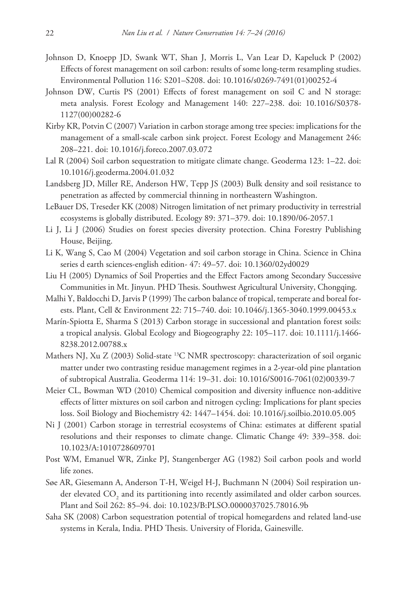- Johnson D, Knoepp JD, Swank WT, Shan J, Morris L, Van Lear D, Kapeluck P (2002) Effects of forest management on soil carbon: results of some long-term resampling studies. Environmental Pollution 116: S201–S208. [doi: 10.1016/s0269-7491\(01\)00252-4](http://dx.doi.org/10.1016/s0269-7491(01)00252-4)
- Johnson DW, Curtis PS (2001) Effects of forest management on soil C and N storage: meta analysis. Forest Ecology and Management 140: 227–238. [doi: 10.1016/S0378-](http://dx.doi.org/10.1016/S0378-1127(00)00282-6) [1127\(00\)00282-6](http://dx.doi.org/10.1016/S0378-1127(00)00282-6)
- Kirby KR, Potvin C (2007) Variation in carbon storage among tree species: implications for the management of a small-scale carbon sink project. Forest Ecology and Management 246: 208–221. [doi: 10.1016/j.foreco.2007.03.072](http://dx.doi.org/10.1016/j.foreco.2007.03.072)
- Lal R (2004) Soil carbon sequestration to mitigate climate change. Geoderma 123: 1–22. [doi:](http://dx.doi.org/10.1016/j.geoderma.2004.01.032) [10.1016/j.geoderma.2004.01.032](http://dx.doi.org/10.1016/j.geoderma.2004.01.032)
- Landsberg JD, Miller RE, Anderson HW, Tepp JS (2003) Bulk density and soil resistance to penetration as affected by commercial thinning in northeastern Washington.
- LeBauer DS, Treseder KK (2008) Nitrogen limitation of net primary productivity in terrestrial ecosystems is globally distributed. Ecology 89: 371–379. [doi: 10.1890/06-2057.1](http://dx.doi.org/10.1890/06-2057.1)
- Li J, Li J (2006) Studies on forest species diversity protection. China Forestry Publishing House, Beijing.
- Li K, Wang S, Cao M (2004) Vegetation and soil carbon storage in China. Science in China series d earth sciences-english edition- 47: 49–57. [doi: 10.1360/02yd0029](http://dx.doi.org/10.1360/02yd0029)
- Liu H (2005) Dynamics of Soil Properties and the Effect Factors among Secondary Successive Communities in Mt. Jinyun. PHD Thesis. Southwest Agricultural University, Chongqing.
- Malhi Y, Baldocchi D, Jarvis P (1999) The carbon balance of tropical, temperate and boreal forests. Plant, Cell & Environment 22: 715–740. [doi: 10.1046/j.1365-3040.1999.00453.x](http://dx.doi.org/10.1046/j.1365-3040.1999.00453.x)
- Marín-Spiotta E, Sharma S (2013) Carbon storage in successional and plantation forest soils: a tropical analysis. Global Ecology and Biogeography 22: 105–117. [doi: 10.1111/j.1466-](http://dx.doi.org/10.1111/j.1466-8238.2012.00788.x) [8238.2012.00788.x](http://dx.doi.org/10.1111/j.1466-8238.2012.00788.x)
- Mathers NJ, Xu Z (2003) Solid-state  $^{13}$ C NMR spectroscopy: characterization of soil organic matter under two contrasting residue management regimes in a 2-year-old pine plantation of subtropical Australia. Geoderma 114: 19–31. [doi: 10.1016/S0016-7061\(02\)00339-7](http://dx.doi.org/10.1016/S0016-7061(02)00339-7)
- Meier CL, Bowman WD (2010) Chemical composition and diversity influence non-additive effects of litter mixtures on soil carbon and nitrogen cycling: Implications for plant species loss. Soil Biology and Biochemistry 42: 1447–1454. [doi: 10.1016/j.soilbio.2010.05.005](http://dx.doi.org/10.1016/j.soilbio.2010.05.005)
- Ni J (2001) Carbon storage in terrestrial ecosystems of China: estimates at different spatial resolutions and their responses to climate change. Climatic Change 49: 339–358. [doi:](http://dx.doi.org/10.1023/A:1010728609701) [10.1023/A:1010728609701](http://dx.doi.org/10.1023/A:1010728609701)
- Post WM, Emanuel WR, Zinke PJ, Stangenberger AG (1982) Soil carbon pools and world life zones.
- Søe AR, Giesemann A, Anderson T-H, Weigel H-J, Buchmann N (2004) Soil respiration under elevated  $\mathrm{CO}__2$  and its partitioning into recently assimilated and older carbon sources. Plant and Soil 262: 85–94. [doi: 10.1023/B:PLSO.0000037025.78016.9b](http://dx.doi.org/10.1023/B:PLSO.0000037025.78016.9b)
- Saha SK (2008) Carbon sequestration potential of tropical homegardens and related land-use systems in Kerala, India. PHD Thesis. University of Florida, Gainesville.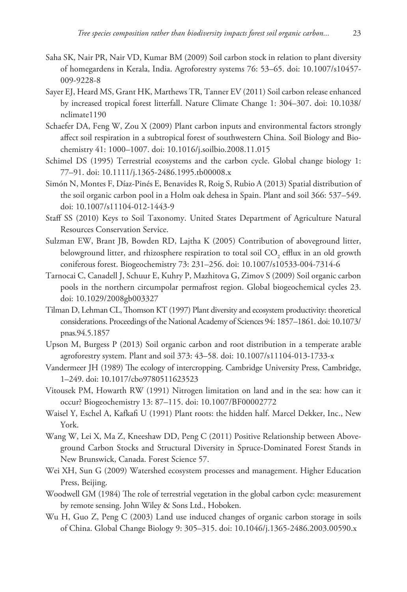- Saha SK, Nair PR, Nair VD, Kumar BM (2009) Soil carbon stock in relation to plant diversity of homegardens in Kerala, India. Agroforestry systems 76: 53–65. [doi: 10.1007/s10457-](http://dx.doi.org/10.1007/s10457-009-9228-8) [009-9228-8](http://dx.doi.org/10.1007/s10457-009-9228-8)
- Sayer EJ, Heard MS, Grant HK, Marthews TR, Tanner EV (2011) Soil carbon release enhanced by increased tropical forest litterfall. Nature Climate Change 1: 304–307. [doi: 10.1038/](http://dx.doi.org/10.1038/nclimate1190) [nclimate1190](http://dx.doi.org/10.1038/nclimate1190)
- Schaefer DA, Feng W, Zou X (2009) Plant carbon inputs and environmental factors strongly affect soil respiration in a subtropical forest of southwestern China. Soil Biology and Biochemistry 41: 1000–1007. [doi: 10.1016/j.soilbio.2008.11.015](http://dx.doi.org/10.1016/j.soilbio.2008.11.015)
- Schimel DS (1995) Terrestrial ecosystems and the carbon cycle. Global change biology 1: 77–91. [doi: 10.1111/j.1365-2486.1995.tb00008.x](http://dx.doi.org/10.1111/j.1365-2486.1995.tb00008.x)
- Simón N, Montes F, Díaz-Pinés E, Benavides R, Roig S, Rubio A (2013) Spatial distribution of the soil organic carbon pool in a Holm oak dehesa in Spain. Plant and soil 366: 537–549. [doi: 10.1007/s11104-012-1443-9](http://dx.doi.org/10.1007/s11104-012-1443-9)
- Staff SS (2010) Keys to Soil Taxonomy. United States Department of Agriculture Natural Resources Conservation Service.
- Sulzman EW, Brant JB, Bowden RD, Lajtha K (2005) Contribution of aboveground litter, belowground litter, and rhizosphere respiration to total soil  $\mathrm{CO}_2$  efflux in an old growth coniferous forest. Biogeochemistry 73: 231–256. [doi: 10.1007/s10533-004-7314-6](http://dx.doi.org/10.1007/s10533-004-7314-6)
- Tarnocai C, Canadell J, Schuur E, Kuhry P, Mazhitova G, Zimov S (2009) Soil organic carbon pools in the northern circumpolar permafrost region. Global biogeochemical cycles 23. [doi: 10.1029/2008gb003327](http://dx.doi.org/10.1029/2008gb003327)
- Tilman D, Lehman CL, Thomson KT (1997) Plant diversity and ecosystem productivity: theoretical considerations. Proceedings of the National Academy of Sciences 94: 1857–1861. [doi: 10.1073/](http://dx.doi.org/10.1073/pnas.94.5.1857) [pnas.94.5.1857](http://dx.doi.org/10.1073/pnas.94.5.1857)
- Upson M, Burgess P (2013) Soil organic carbon and root distribution in a temperate arable agroforestry system. Plant and soil 373: 43–58. [doi: 10.1007/s11104-013-1733-x](http://dx.doi.org/10.1007/s11104-013-1733-x)
- Vandermeer JH (1989) The ecology of intercropping. Cambridge University Press, Cambridge, 1–249. [doi: 10.1017/cbo9780511623523](http://dx.doi.org/10.1017/cbo9780511623523)
- Vitousek PM, Howarth RW (1991) Nitrogen limitation on land and in the sea: how can it occur? Biogeochemistry 13: 87–115. [doi: 10.1007/BF00002772](http://dx.doi.org/10.1007/BF00002772)
- Waisel Y, Eschel A, Kafkafi U (1991) Plant roots: the hidden half. Marcel Dekker, Inc., New York.
- Wang W, Lei X, Ma Z, Kneeshaw DD, Peng C (2011) Positive Relationship between Aboveground Carbon Stocks and Structural Diversity in Spruce-Dominated Forest Stands in New Brunswick, Canada. Forest Science 57.
- Wei XH, Sun G (2009) Watershed ecosystem processes and management. Higher Education Press, Beijing.
- Woodwell GM (1984) The role of terrestrial vegetation in the global carbon cycle: measurement by remote sensing. John Wiley & Sons Ltd., Hoboken.
- Wu H, Guo Z, Peng C (2003) Land use induced changes of organic carbon storage in soils of China. Global Change Biology 9: 305–315. [doi: 10.1046/j.1365-2486.2003.00590.x](http://dx.doi.org/10.1046/j.1365-2486.2003.00590.x)